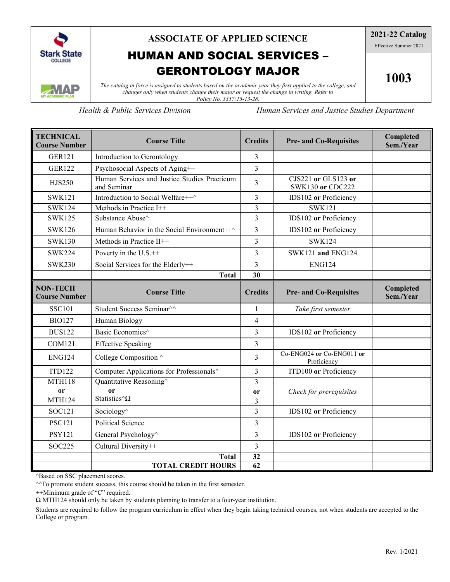

### **ASSOCIATE OF APPLIED SCIENCE**

## HUMAN AND SOCIAL SERVICES – GERONTOLOGY MAJOR

**2021-22 Catalog**

Effective Summer 2021

**1003**

*The catalog in force is assigned to students based on the academic year they first applied to the college, and changes only when students change their major or request the change in writing. Refer to Policy No. 3357:15-13-28.*

*Health & Public Services Division Human Services and Justice Studies Department*

| <b>TECHNICAL</b><br><b>Course Number</b> | <b>Course Title</b>                                         | <b>Credits</b> | <b>Pre- and Co-Requisites</b>            | Completed<br>Sem./Year |
|------------------------------------------|-------------------------------------------------------------|----------------|------------------------------------------|------------------------|
| <b>GER121</b>                            | Introduction to Gerontology                                 | 3              |                                          |                        |
| <b>GER122</b>                            | Psychosocial Aspects of Aging++                             | 3              |                                          |                        |
| HJS250                                   | Human Services and Justice Studies Practicum<br>and Seminar | 3              | CJS221 or GLS123 or<br>SWK130 or CDC222  |                        |
| <b>SWK121</b>                            | Introduction to Social Welfare++^                           | 3              | IDS102 or Proficiency                    |                        |
| <b>SWK124</b>                            | Methods in Practice I++                                     | 3              | <b>SWK121</b>                            |                        |
| <b>SWK125</b>                            | Substance Abuse^                                            | 3              | IDS102 or Proficiency                    |                        |
| <b>SWK126</b>                            | Human Behavior in the Social Environment++^                 | 3              | IDS102 or Proficiency                    |                        |
| <b>SWK130</b>                            | Methods in Practice II++                                    | 3              | <b>SWK124</b>                            |                        |
| <b>SWK224</b>                            | Poverty in the U.S.++                                       | 3              | SWK121 and ENG124                        |                        |
| <b>SWK230</b>                            | Social Services for the Elderly++                           | 3              | <b>ENG124</b>                            |                        |
|                                          | <b>Total</b>                                                | 30             |                                          |                        |
| <b>NON-TECH</b><br><b>Course Number</b>  | <b>Course Title</b>                                         | <b>Credits</b> | <b>Pre- and Co-Requisites</b>            | Completed<br>Sem./Year |
| <b>SSC101</b>                            | Student Success Seminar^^                                   | 1              | Take first semester                      |                        |
| <b>BIO127</b>                            | Human Biology                                               | $\overline{4}$ |                                          |                        |
| <b>BUS122</b>                            | Basic Economics^                                            | 3              | IDS102 or Proficiency                    |                        |
| <b>COM121</b>                            | <b>Effective Speaking</b>                                   | 3              |                                          |                        |
| <b>ENG124</b>                            | College Composition ^                                       | 3              | Co-ENG024 or Co-ENG011 or<br>Proficiency |                        |
| <b>ITD122</b>                            | Computer Applications for Professionals^                    | 3              | ITD100 or Proficiency                    |                        |
| <b>MTH118</b>                            | Quantitative Reasoning^                                     | 3              |                                          |                        |
| <sub>or</sub><br><b>MTH124</b>           | 0r<br>Statistics $\triangle \Omega$                         | 0r             | Check for prerequisites                  |                        |
| SOC121                                   | Sociology^                                                  | 3<br>3         |                                          |                        |
|                                          |                                                             |                | IDS102 or Proficiency                    |                        |
| <b>PSC121</b>                            | <b>Political Science</b>                                    | 3              |                                          |                        |
| <b>PSY121</b>                            | General Psychology^                                         | 3              | IDS102 or Proficiency                    |                        |
| <b>SOC225</b>                            | Cultural Diversity++                                        | 3              |                                          |                        |
|                                          | <b>Total</b>                                                | 32             |                                          |                        |
|                                          | <b>TOTAL CREDIT HOURS</b>                                   | 62             |                                          |                        |

^Based on SSC placement scores.

 $\gamma$ <sup>0</sup>To promote student success, this course should be taken in the first semester.

++Minimum grade of "C" required.

Ω MTH124 should only be taken by students planning to transfer to a four-year institution.

Students are required to follow the program curriculum in effect when they begin taking technical courses, not when students are accepted to the College or program.